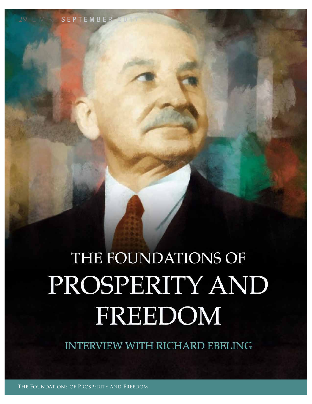## THE FOUNDATIONS OF PROSPERITY AND FREEDOM

**INTERVIEW WITH RICHARD EBELING**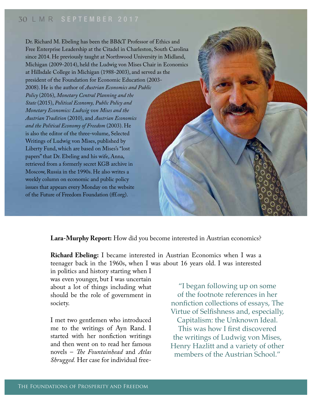Dr. Richard M. Ebeling has been the BB&T Professor of Ethics and Free Enterprise Leadership at the Citadel in Charleston, South Carolina since 2014. He previously taught at Northwood University in Midland, Michigan (2009-2014), held the Ludwig von Mises Chair in Economics at Hillsdale College in Michigan (1988-2003), and served as the president of the Foundation for Economic Education (2003- 2008). He is the author of *Austrian Economics and Public Policy* (2016), *Monetary Central Planning and the State* (2015), *Political Economy, Public Policy and Monetary Economics: Ludwig von Mises and the Austrian Tradition* (2010), and *Austrian Economics and the Political Economy of Freedom* (2003). He is also the editor of the three-volume, Selected Writings of Ludwig von Mises, published by Liberty Fund, which are based on Mises's "lost papers" that Dr. Ebeling and his wife, Anna, retrieved from a formerly secret KGB archive in Moscow, Russia in the 1990s. He also writes a weekly column on economic and public policy issues that appears every Monday on the website of the Future of Freedom Foundation (ff.org).

**Lara-Murphy Report:** How did you become interested in Austrian economics?

**Richard Ebeling:** I became interested in Austrian Economics when I was a teenager back in the 1960s, when I was about 16 years old. I was interested

in politics and history starting when I was even younger, but I was uncertain about a lot of things including what should be the role of government in society.

I met two gentlemen who introduced me to the writings of Ayn Rand. I started with her nonfiction writings and then went on to read her famous novels – *Te Fountainhead* and *Atlas Shrugged.* Her case for individual free-

"I began following up on some of the footnote references in her nonfiction collections of essays, The Virtue of Selfshness and, especially, Capitalism: the Unknown Ideal. This was how I first discovered the writings of Ludwig von Mises, Henry Hazlitt and a variety of other members of the Austrian School"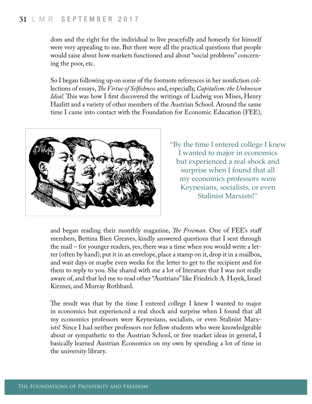dom and the right for the individual to live peacefully and honestly for himself were very appealing to me. But there were all the practical questions that people would raise about how markets functioned and about "social problems" concerning the poor, etc.

So I began following up on some of the footnote references in her nonfction collections of essays, *Te Virtue of Selfshness* and, especially, *Capitalism: the Unknown Ideal*. This was how I first discovered the writings of Ludwig von Mises, Henry Hazlitt and a variety of other members of the Austrian School. Around the same time I came into contact with the Foundation for Economic Education (FEE),



"By the time I entered college I knew I wanted to major in economics but experienced a real shock and surprise when I found that all my economics professors were Keynesians, socialists, or even Stalinist Marxists!"

and began reading their monthly magazine, *Te Freeman.* One of FEE's staf members, Bettina Bien Greaves, kindly answered questions that I sent through the mail – for younger readers, yes, there was a time when you would write a letter (often by hand), put it in an envelope, place a stamp on it, drop it in a mailbox, and wait days or maybe even weeks for the letter to get to the recipient and for them to reply to you. She shared with me a lot of literature that I was not really aware of, and that led me to read other "Austrians" like Friedrich A. Hayek, Israel Kirzner, and Murray Rothbard.

The result was that by the time I entered college I knew I wanted to major in economics but experienced a real shock and surprise when I found that all my economics professors were Keynesians, socialists, or even Stalinist Marxists! Since I had neither professors nor fellow students who were knowledgeable about or sympathetic to the Austrian School, or free market ideas in general, I basically learned Austrian Economics on my own by spending a lot of time in the university library.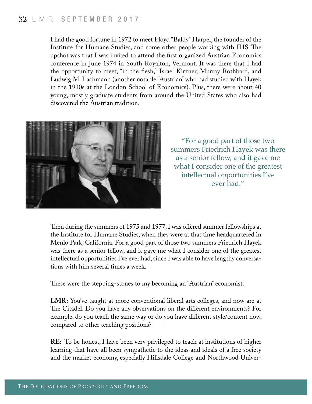I had the good fortune in 1972 to meet Floyd "Baldy" Harper, the founder of the Institute for Humane Studies, and some other people working with IHS. The upshot was that I was invited to attend the frst organized Austrian Economics conference in June 1974 in South Royalton, Vermont. It was there that I had the opportunity to meet, "in the fesh," Israel Kirzner, Murray Rothbard, and Ludwig M. Lachmann (another notable "Austrian" who had studied with Hayek in the 1930s at the London School of Economics). Plus, there were about 40 young, mostly graduate students from around the United States who also had discovered the Austrian tradition.



"For a good part of those two summers Friedrich Hayek was there as a senior fellow, and it gave me what I consider one of the greatest intellectual opportunities I've ever had."

Then during the summers of 1975 and 1977, I was offered summer fellowships at the Institute for Humane Studies, when they were at that time headquartered in Menlo Park, California. For a good part of those two summers Friedrich Hayek was there as a senior fellow, and it gave me what I consider one of the greatest intellectual opportunities I've ever had, since I was able to have lengthy conversations with him several times a week.

These were the stepping-stones to my becoming an "Austrian" economist.

**LMR:** You've taught at more conventional liberal arts colleges, and now are at The Citadel. Do you have any observations on the different environments? For example, do you teach the same way or do you have diferent style/content now, compared to other teaching positions?

**RE:** To be honest, I have been very privileged to teach at institutions of higher learning that have all been sympathetic to the ideas and ideals of a free society and the market economy, especially Hillsdale College and Northwood Univer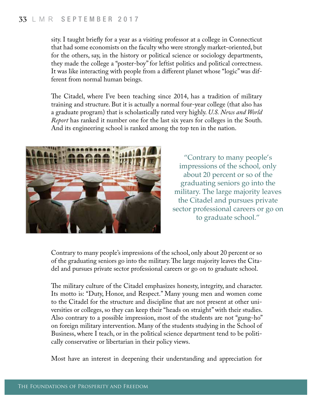sity. I taught briefy for a year as a visiting professor at a college in Connecticut that had some economists on the faculty who were strongly market-oriented, but for the others, say, in the history or political science or sociology departments, they made the college a "poster-boy" for leftist politics and political correctness. It was like interacting with people from a diferent planet whose "logic" was different from normal human beings.

The Citadel, where I've been teaching since 2014, has a tradition of military training and structure. But it is actually a normal four-year college (that also has a graduate program) that is scholastically rated very highly. *U.S. News and World Report* has ranked it number one for the last six years for colleges in the South. And its engineering school is ranked among the top ten in the nation.



"Contrary to many people's impressions of the school, only about 20 percent or so of the graduating seniors go into the military. The large majority leaves the Citadel and pursues private sector professional careers or go on to graduate school."

Contrary to many people's impressions of the school, only about 20 percent or so of the graduating seniors go into the military. The large majority leaves the Citadel and pursues private sector professional careers or go on to graduate school.

The military culture of the Citadel emphasizes honesty, integrity, and character. Its motto is: "Duty, Honor, and Respect." Many young men and women come to the Citadel for the structure and discipline that are not present at other universities or colleges, so they can keep their "heads on straight" with their studies. Also contrary to a possible impression, most of the students are not "gung-ho" on foreign military intervention. Many of the students studying in the School of Business, where I teach, or in the political science department tend to be politically conservative or libertarian in their policy views.

Most have an interest in deepening their understanding and appreciation for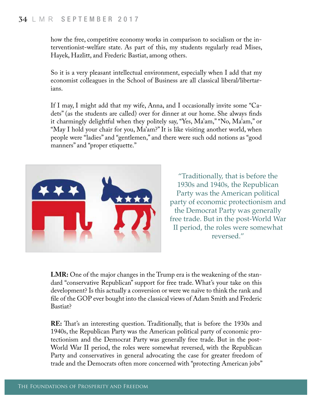how the free, competitive economy works in comparison to socialism or the interventionist-welfare state. As part of this, my students regularly read Mises, Hayek, Hazlitt, and Frederic Bastiat, among others.

So it is a very pleasant intellectual environment, especially when I add that my economist colleagues in the School of Business are all classical liberal/libertarians.

If I may, I might add that my wife, Anna, and I occasionally invite some "Cadets" (as the students are called) over for dinner at our home. She always fnds it charmingly delightful when they politely say, "Yes, Ma'am," "No, Ma'am," or "May I hold your chair for you, Ma'am?" It is like visiting another world, when people were "ladies" and "gentlemen," and there were such odd notions as "good manners" and "proper etiquette."



"Traditionally, that is before the 1930s and 1940s, the Republican Party was the American political party of economic protectionism and the Democrat Party was generally free trade. But in the post-World War II period, the roles were somewhat reversed."

**LMR:** One of the major changes in the Trump era is the weakening of the standard "conservative Republican" support for free trade. What's your take on this development? Is this actually a conversion or were we naïve to think the rank and fle of the GOP ever bought into the classical views of Adam Smith and Frederic Bastiat?

**RE:** That's an interesting question. Traditionally, that is before the 1930s and 1940s, the Republican Party was the American political party of economic protectionism and the Democrat Party was generally free trade. But in the post-World War II period, the roles were somewhat reversed, with the Republican Party and conservatives in general advocating the case for greater freedom of trade and the Democrats often more concerned with "protecting American jobs"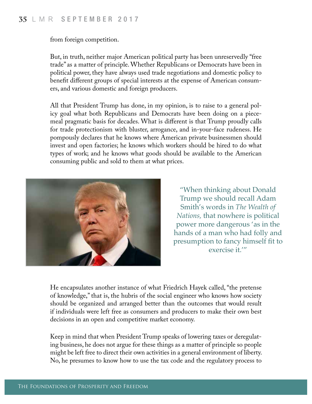from foreign competition.

But, in truth, neither major American political party has been unreservedly "free trade" as a matter of principle. Whether Republicans or Democrats have been in political power, they have always used trade negotiations and domestic policy to beneft diferent groups of special interests at the expense of American consumers, and various domestic and foreign producers.

All that President Trump has done, in my opinion, is to raise to a general policy goal what both Republicans and Democrats have been doing on a piecemeal pragmatic basis for decades. What is diferent is that Trump proudly calls for trade protectionism with bluster, arrogance, and in-your-face rudeness. He pompously declares that he knows where American private businessmen should invest and open factories; he knows which workers should be hired to do what types of work; and he knows what goods should be available to the American consuming public and sold to them at what prices.



"When thinking about Donald Trump we should recall Adam Smith's words in *The Wealth of Nations,* that nowhere is political power more dangerous 'as in the hands of a man who had folly and presumption to fancy himself ft to exercise it.'"

He encapsulates another instance of what Friedrich Hayek called, "the pretense of knowledge," that is, the hubris of the social engineer who knows how society should be organized and arranged better than the outcomes that would result if individuals were left free as consumers and producers to make their own best decisions in an open and competitive market economy.

Keep in mind that when President Trump speaks of lowering taxes or deregulating business, he does not argue for these things as a matter of principle so people might be left free to direct their own activities in a general environment of liberty. No, he presumes to know how to use the tax code and the regulatory process to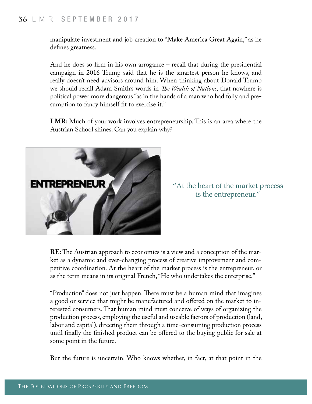## **<sup>36</sup>** LMR SEPTEMBER 2017

manipulate investment and job creation to "Make America Great Again," as he defnes greatness.

And he does so frm in his own arrogance – recall that during the presidential campaign in 2016 Trump said that he is the smartest person he knows, and really doesn't need advisors around him. When thinking about Donald Trump we should recall Adam Smith's words in *Te Wealth of Nations,* that nowhere is political power more dangerous "as in the hands of a man who had folly and presumption to fancy himself fit to exercise it."

**LMR:** Much of your work involves entrepreneurship. This is an area where the Austrian School shines. Can you explain why?



"At the heart of the market process is the entrepreneur."

**RE:** The Austrian approach to economics is a view and a conception of the market as a dynamic and ever-changing process of creative improvement and competitive coordination. At the heart of the market process is the entrepreneur, or as the term means in its original French, "He who undertakes the enterprise."

"Production" does not just happen. There must be a human mind that imagines a good or service that might be manufactured and ofered on the market to interested consumers. Tat human mind must conceive of ways of organizing the production process, employing the useful and useable factors of production (land, labor and capital), directing them through a time-consuming production process until fnally the fnished product can be ofered to the buying public for sale at some point in the future.

But the future is uncertain. Who knows whether, in fact, at that point in the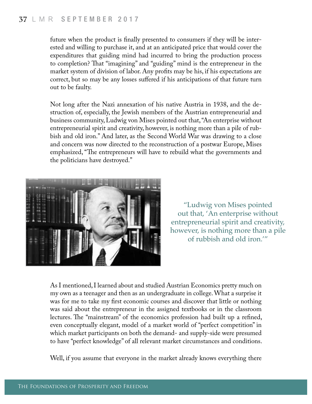future when the product is fnally presented to consumers if they will be interested and willing to purchase it, and at an anticipated price that would cover the expenditures that guiding mind had incurred to bring the production process to completion? Tat "imagining" and "guiding" mind is the entrepreneur in the market system of division of labor. Any profts may be his, if his expectations are correct, but so may be any losses sufered if his anticipations of that future turn out to be faulty.

Not long after the Nazi annexation of his native Austria in 1938, and the destruction of, especially, the Jewish members of the Austrian entrepreneurial and business community, Ludwig von Mises pointed out that, "An enterprise without entrepreneurial spirit and creativity, however, is nothing more than a pile of rubbish and old iron." And later, as the Second World War was drawing to a close and concern was now directed to the reconstruction of a postwar Europe, Mises emphasized, "The entrepreneurs will have to rebuild what the governments and the politicians have destroyed."



"Ludwig von Mises pointed out that, 'An enterprise without entrepreneurial spirit and creativity, however, is nothing more than a pile of rubbish and old iron.'"

As I mentioned, I learned about and studied Austrian Economics pretty much on my own as a teenager and then as an undergraduate in college. What a surprise it was for me to take my frst economic courses and discover that little or nothing was said about the entrepreneur in the assigned textbooks or in the classroom lectures. The "mainstream" of the economics profession had built up a refined, even conceptually elegant, model of a market world of "perfect competition" in which market participants on both the demand- and supply-side were presumed to have "perfect knowledge" of all relevant market circumstances and conditions.

Well, if you assume that everyone in the market already knows everything there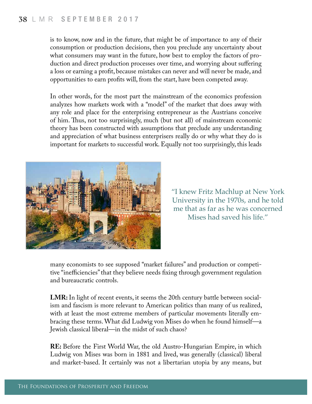is to know, now and in the future, that might be of importance to any of their consumption or production decisions, then you preclude any uncertainty about what consumers may want in the future, how best to employ the factors of production and direct production processes over time, and worrying about sufering a loss or earning a proft, because mistakes can never and will never be made, and opportunities to earn profts will, from the start, have been competed away.

In other words, for the most part the mainstream of the economics profession analyzes how markets work with a "model" of the market that does away with any role and place for the enterprising entrepreneur as the Austrians conceive of him. Tus, not too surprisingly, much (but not all) of mainstream economic theory has been constructed with assumptions that preclude any understanding and appreciation of what business enterprisers really do or why what they do is important for markets to successful work. Equally not too surprisingly, this leads



"I knew Fritz Machlup at New York University in the 1970s, and he told me that as far as he was concerned Mises had saved his life."

many economists to see supposed "market failures" and production or competitive "inefficiencies" that they believe needs fixing through government regulation and bureaucratic controls.

**LMR:** In light of recent events, it seems the 20th century battle between socialism and fascism is more relevant to American politics than many of us realized, with at least the most extreme members of particular movements literally embracing these terms. What did Ludwig von Mises do when he found himself—a Jewish classical liberal—in the midst of such chaos?

**RE:** Before the First World War, the old Austro-Hungarian Empire, in which Ludwig von Mises was born in 1881 and lived, was generally (classical) liberal and market-based. It certainly was not a libertarian utopia by any means, but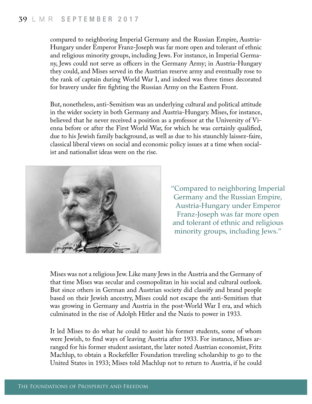compared to neighboring Imperial Germany and the Russian Empire, Austria-Hungary under Emperor Franz-Joseph was far more open and tolerant of ethnic and religious minority groups, including Jews. For instance, in Imperial Germany, Jews could not serve as officers in the Germany Army; in Austria-Hungary they could, and Mises served in the Austrian reserve army and eventually rose to the rank of captain during World War I, and indeed was three times decorated for bravery under fre fghting the Russian Army on the Eastern Front.

But, nonetheless, anti-Semitism was an underlying cultural and political attitude in the wider society in both Germany and Austria-Hungary. Mises, for instance, believed that he never received a position as a professor at the University of Vienna before or after the First World War, for which he was certainly qualifed, due to his Jewish family background, as well as due to his staunchly laissez-faire, classical liberal views on social and economic policy issues at a time when socialist and nationalist ideas were on the rise.



"Compared to neighboring Imperial Germany and the Russian Empire, Austria-Hungary under Emperor Franz-Joseph was far more open and tolerant of ethnic and religious minority groups, including Jews."

Mises was not a religious Jew. Like many Jews in the Austria and the Germany of that time Mises was secular and cosmopolitan in his social and cultural outlook. But since others in German and Austrian society did classify and brand people based on their Jewish ancestry, Mises could not escape the anti-Semitism that was growing in Germany and Austria in the post-World War I era, and which culminated in the rise of Adolph Hitler and the Nazis to power in 1933.

It led Mises to do what he could to assist his former students, some of whom were Jewish, to fnd ways of leaving Austria after 1933. For instance, Mises arranged for his former student assistant, the later noted Austrian economist, Fritz Machlup, to obtain a Rockefeller Foundation traveling scholarship to go to the United States in 1933; Mises told Machlup not to return to Austria, if he could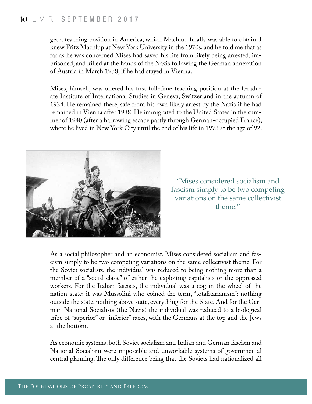get a teaching position in America, which Machlup fnally was able to obtain. I knew Fritz Machlup at New York University in the 1970s, and he told me that as far as he was concerned Mises had saved his life from likely being arrested, imprisoned, and killed at the hands of the Nazis following the German annexation of Austria in March 1938, if he had stayed in Vienna.

Mises, himself, was offered his first full-time teaching position at the Graduate Institute of International Studies in Geneva, Switzerland in the autumn of 1934. He remained there, safe from his own likely arrest by the Nazis if he had remained in Vienna after 1938. He immigrated to the United States in the summer of 1940 (after a harrowing escape partly through German-occupied France), where he lived in New York City until the end of his life in 1973 at the age of 92.



"Mises considered socialism and fascism simply to be two competing variations on the same collectivist theme."

As a social philosopher and an economist, Mises considered socialism and fascism simply to be two competing variations on the same collectivist theme. For the Soviet socialists, the individual was reduced to being nothing more than a member of a "social class," of either the exploiting capitalists or the oppressed workers. For the Italian fascists, the individual was a cog in the wheel of the nation-state; it was Mussolini who coined the term, "totalitarianism": nothing outside the state, nothing above state, everything for the State. And for the German National Socialists (the Nazis) the individual was reduced to a biological tribe of "superior" or "inferior" races, with the Germans at the top and the Jews at the bottom.

As economic systems, both Soviet socialism and Italian and German fascism and National Socialism were impossible and unworkable systems of governmental central planning. The only difference being that the Soviets had nationalized all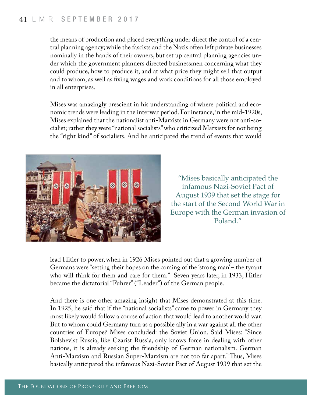the means of production and placed everything under direct the control of a central planning agency; while the fascists and the Nazis often left private businesses nominally in the hands of their owners, but set up central planning agencies under which the government planners directed businessmen concerning what they could produce, how to produce it, and at what price they might sell that output and to whom, as well as fxing wages and work conditions for all those employed in all enterprises.

Mises was amazingly prescient in his understanding of where political and economic trends were leading in the interwar period. For instance, in the mid-1920s, Mises explained that the nationalist anti-Marxists in Germany were not anti-socialist; rather they were "national socialists" who criticized Marxists for not being the "right kind" of socialists. And he anticipated the trend of events that would



"Mises basically anticipated the infamous Nazi-Soviet Pact of August 1939 that set the stage for the start of the Second World War in Europe with the German invasion of Poland."

lead Hitler to power, when in 1926 Mises pointed out that a growing number of Germans were "setting their hopes on the coming of the 'strong man' – the tyrant who will think for them and care for them." Seven years later, in 1933, Hitler became the dictatorial "Fuhrer" ("Leader") of the German people.

And there is one other amazing insight that Mises demonstrated at this time. In 1925, he said that if the "national socialists" came to power in Germany they most likely would follow a course of action that would lead to another world war. But to whom could Germany turn as a possible ally in a war against all the other countries of Europe? Mises concluded: the Soviet Union. Said Mises: "Since Bolshevist Russia, like Czarist Russia, only knows force in dealing with other nations, it is already seeking the friendship of German nationalism. German Anti-Marxism and Russian Super-Marxism are not too far apart." Thus, Mises basically anticipated the infamous Nazi-Soviet Pact of August 1939 that set the